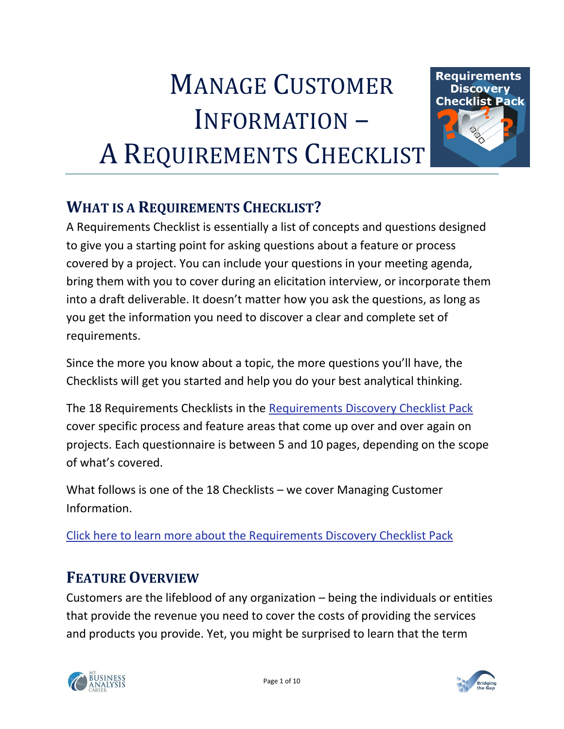# MANAGE CUSTOMER INFORMATION – A REQUIREMENTS CHECKLIST



# **WHAT IS A REQUIREMENTS CHECKLIST?**

A Requirements Checklist is essentially a list of concepts and questions designed to give you a starting point for asking questions about a feature or process covered by a project. You can include your questions in your meeting agenda, bring them with you to cover during an elicitation interview, or incorporate them into a draft deliverable. It doesn't matter how you ask the questions, as long as you get the information you need to discover a clear and complete set of requirements.

Since the more you know about a topic, the more questions you'll have, the Checklists will get you started and help you do your best analytical thinking.

The 18 Requirements Checklists in the [Requirements Discovery](http://www.bridging-the-gap.com/requirements-checklist-pack) Checklist Pack cover specific process and feature areas that come up over and over again on projects. Each questionnaire is between 5 and 10 pages, depending on the scope of what's covered.

What follows is one of the 18 Checklists – we cover Managing Customer Information.

[Click here to learn more about the Requirements Discovery Checklist Pack](http://www.bridging-the-gap.com/requirements-checklist-pack)

## **FEATURE OVERVIEW**

Customers are the lifeblood of any organization – being the individuals or entities that provide the revenue you need to cover the costs of providing the services and products you provide. Yet, you might be surprised to learn that the term



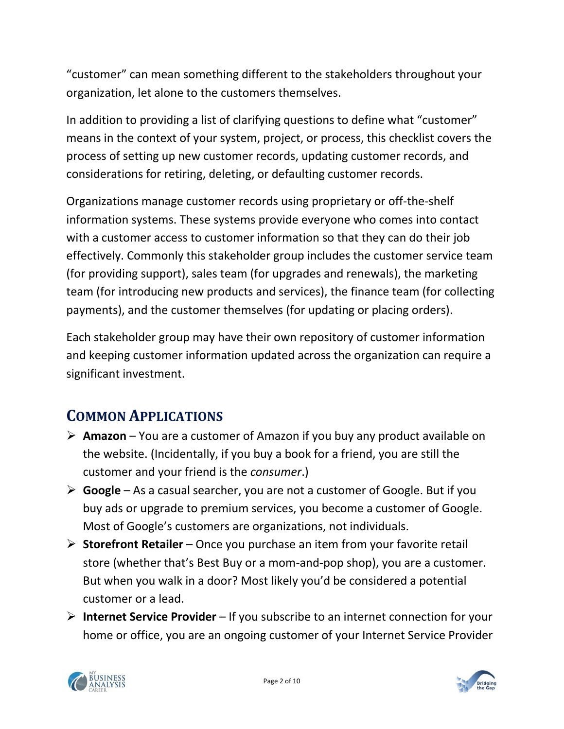"customer" can mean something different to the stakeholders throughout your organization, let alone to the customers themselves.

In addition to providing a list of clarifying questions to define what "customer" means in the context of your system, project, or process, this checklist covers the process of setting up new customer records, updating customer records, and considerations for retiring, deleting, or defaulting customer records.

Organizations manage customer records using proprietary or off-the-shelf information systems. These systems provide everyone who comes into contact with a customer access to customer information so that they can do their job effectively. Commonly this stakeholder group includes the customer service team (for providing support), sales team (for upgrades and renewals), the marketing team (for introducing new products and services), the finance team (for collecting payments), and the customer themselves (for updating or placing orders).

Each stakeholder group may have their own repository of customer information and keeping customer information updated across the organization can require a significant investment.

# **COMMON APPLICATIONS**

- **Amazon** You are a customer of Amazon if you buy any product available on the website. (Incidentally, if you buy a book for a friend, you are still the customer and your friend is the *consumer*.)
- **Google** As a casual searcher, you are not a customer of Google. But if you buy ads or upgrade to premium services, you become a customer of Google. Most of Google's customers are organizations, not individuals.
- **Storefront Retailer**  Once you purchase an item from your favorite retail store (whether that's Best Buy or a mom-and-pop shop), you are a customer. But when you walk in a door? Most likely you'd be considered a potential customer or a lead.
- **Internet Service Provider** If you subscribe to an internet connection for your home or office, you are an ongoing customer of your Internet Service Provider



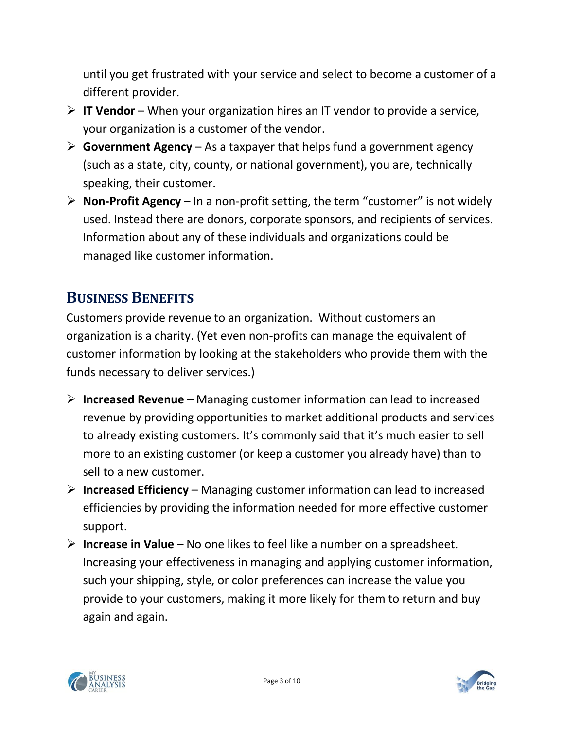until you get frustrated with your service and select to become a customer of a different provider.

- **IT Vendor**  When your organization hires an IT vendor to provide a service, your organization is a customer of the vendor.
- **Government Agency**  As a taxpayer that helps fund a government agency (such as a state, city, county, or national government), you are, technically speaking, their customer.
- **Non-Profit Agency** In a non-profit setting, the term "customer" is not widely used. Instead there are donors, corporate sponsors, and recipients of services. Information about any of these individuals and organizations could be managed like customer information.

# **BUSINESS BENEFITS**

Customers provide revenue to an organization. Without customers an organization is a charity. (Yet even non-profits can manage the equivalent of customer information by looking at the stakeholders who provide them with the funds necessary to deliver services.)

- **Increased Revenue** Managing customer information can lead to increased revenue by providing opportunities to market additional products and services to already existing customers. It's commonly said that it's much easier to sell more to an existing customer (or keep a customer you already have) than to sell to a new customer.
- **Increased Efficiency** Managing customer information can lead to increased efficiencies by providing the information needed for more effective customer support.
- **Increase in Value**  No one likes to feel like a number on a spreadsheet. Increasing your effectiveness in managing and applying customer information, such your shipping, style, or color preferences can increase the value you provide to your customers, making it more likely for them to return and buy again and again.



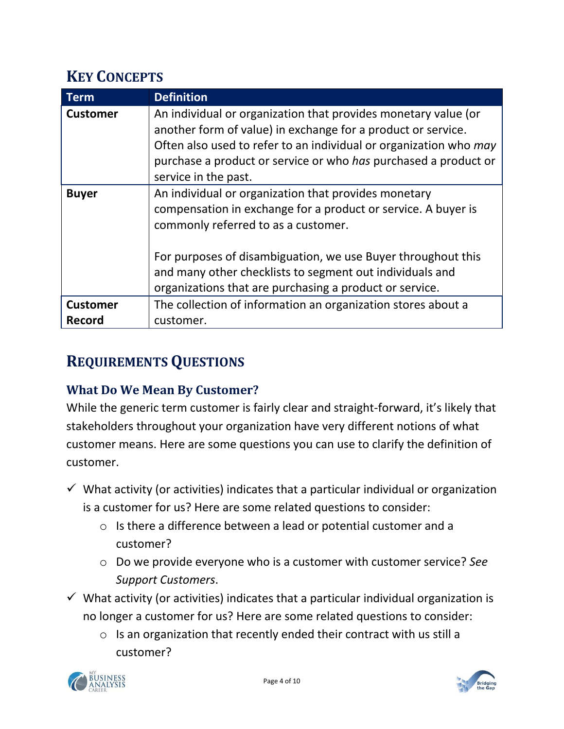# **KEY CONCEPTS**

| Term            | <b>Definition</b>                                                                                                                                                                                                                                                                                                                                   |
|-----------------|-----------------------------------------------------------------------------------------------------------------------------------------------------------------------------------------------------------------------------------------------------------------------------------------------------------------------------------------------------|
| <b>Customer</b> | An individual or organization that provides monetary value (or<br>another form of value) in exchange for a product or service.<br>Often also used to refer to an individual or organization who may<br>purchase a product or service or who has purchased a product or<br>service in the past.                                                      |
| <b>Buyer</b>    | An individual or organization that provides monetary<br>compensation in exchange for a product or service. A buyer is<br>commonly referred to as a customer.<br>For purposes of disambiguation, we use Buyer throughout this<br>and many other checklists to segment out individuals and<br>organizations that are purchasing a product or service. |
| <b>Customer</b> | The collection of information an organization stores about a                                                                                                                                                                                                                                                                                        |
| Record          | customer.                                                                                                                                                                                                                                                                                                                                           |

## **REQUIREMENTS QUESTIONS**

#### **What Do We Mean By Customer?**

While the generic term customer is fairly clear and straight-forward, it's likely that stakeholders throughout your organization have very different notions of what customer means. Here are some questions you can use to clarify the definition of customer.

- $\checkmark$  What activity (or activities) indicates that a particular individual or organization is a customer for us? Here are some related questions to consider:
	- o Is there a difference between a lead or potential customer and a customer?
	- o Do we provide everyone who is a customer with customer service? *See Support Customers*.
- $\checkmark$  What activity (or activities) indicates that a particular individual organization is no longer a customer for us? Here are some related questions to consider:
	- o Is an organization that recently ended their contract with us still a customer?



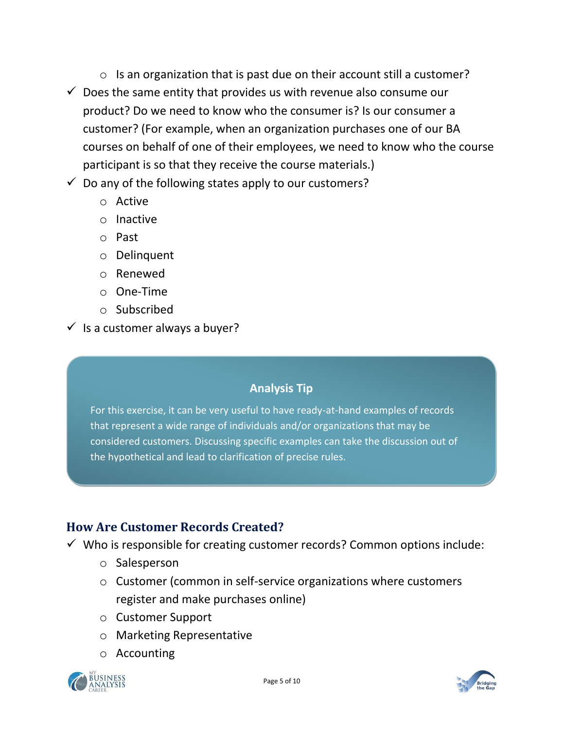- o Is an organization that is past due on their account still a customer?
- $\checkmark$  Does the same entity that provides us with revenue also consume our product? Do we need to know who the consumer is? Is our consumer a customer? (For example, when an organization purchases one of our BA courses on behalf of one of their employees, we need to know who the course participant is so that they receive the course materials.)
- $\checkmark$  Do any of the following states apply to our customers?
	- o Active
	- o Inactive
	- o Past
	- o Delinquent
	- o Renewed
	- o One-Time
	- o Subscribed
- $\checkmark$  is a customer always a buyer?

#### **Analysis Tip**

For this exercise, it can be very useful to have ready-at-hand examples of records that represent a wide range of individuals and/or organizations that may be considered customers. Discussing specific examples can take the discussion out of the hypothetical and lead to clarification of precise rules.

#### **How Are Customer Records Created?**

- $\checkmark$  Who is responsible for creating customer records? Common options include:
	- o Salesperson
	- o Customer (common in self-service organizations where customers register and make purchases online)
	- o Customer Support
	- o Marketing Representative
	- o Accounting



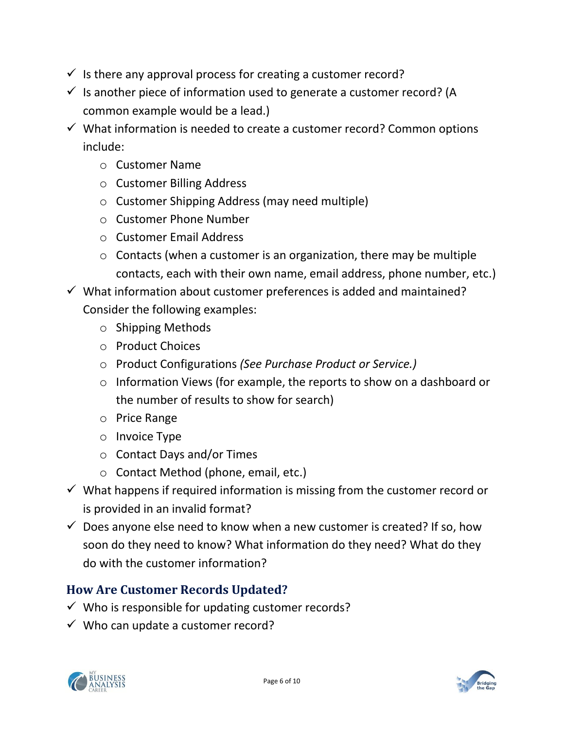- $\checkmark$  is there any approval process for creating a customer record?
- $\checkmark$  Is another piece of information used to generate a customer record? (A common example would be a lead.)
- $\checkmark$  What information is needed to create a customer record? Common options include:
	- o Customer Name
	- o Customer Billing Address
	- o Customer Shipping Address (may need multiple)
	- o Customer Phone Number
	- o Customer Email Address
	- $\circ$  Contacts (when a customer is an organization, there may be multiple contacts, each with their own name, email address, phone number, etc.)
- $\checkmark$  What information about customer preferences is added and maintained? Consider the following examples:
	- o Shipping Methods
	- o Product Choices
	- o Product Configurations *(See Purchase Product or Service.)*
	- o Information Views (for example, the reports to show on a dashboard or the number of results to show for search)
	- o Price Range
	- o Invoice Type
	- o Contact Days and/or Times
	- o Contact Method (phone, email, etc.)
- $\checkmark$  What happens if required information is missing from the customer record or is provided in an invalid format?
- $\checkmark$  Does anyone else need to know when a new customer is created? If so, how soon do they need to know? What information do they need? What do they do with the customer information?

#### **How Are Customer Records Updated?**

- $\checkmark$  Who is responsible for updating customer records?
- $\checkmark$  Who can update a customer record?

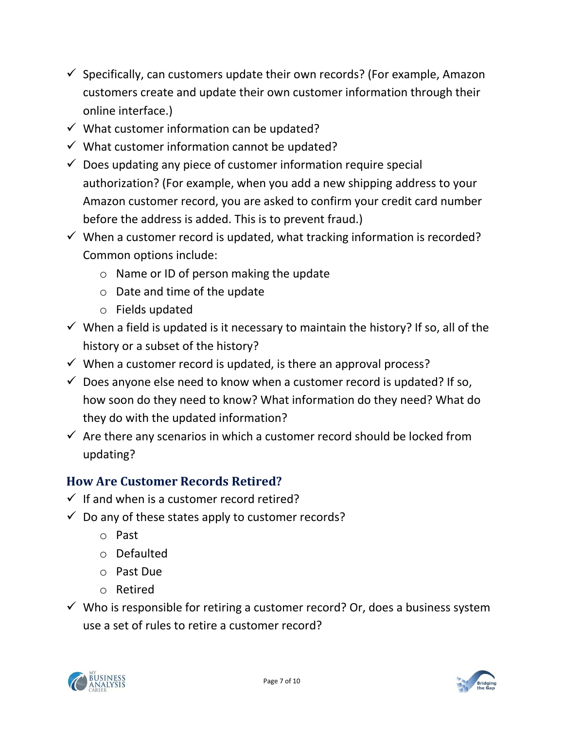- $\checkmark$  Specifically, can customers update their own records? (For example, Amazon customers create and update their own customer information through their online interface.)
- $\checkmark$  What customer information can be updated?
- $\checkmark$  What customer information cannot be updated?
- $\checkmark$  Does updating any piece of customer information require special authorization? (For example, when you add a new shipping address to your Amazon customer record, you are asked to confirm your credit card number before the address is added. This is to prevent fraud.)
- $\checkmark$  When a customer record is updated, what tracking information is recorded? Common options include:
	- o Name or ID of person making the update
	- o Date and time of the update
	- o Fields updated
- $\checkmark$  When a field is updated is it necessary to maintain the history? If so, all of the history or a subset of the history?
- $\checkmark$  When a customer record is updated, is there an approval process?
- $\checkmark$  Does anyone else need to know when a customer record is updated? If so, how soon do they need to know? What information do they need? What do they do with the updated information?
- $\checkmark$  Are there any scenarios in which a customer record should be locked from updating?

#### **How Are Customer Records Retired?**

- $\checkmark$  If and when is a customer record retired?
- $\checkmark$  Do any of these states apply to customer records?
	- o Past
	- o Defaulted
	- o Past Due
	- o Retired
- $\checkmark$  Who is responsible for retiring a customer record? Or, does a business system use a set of rules to retire a customer record?

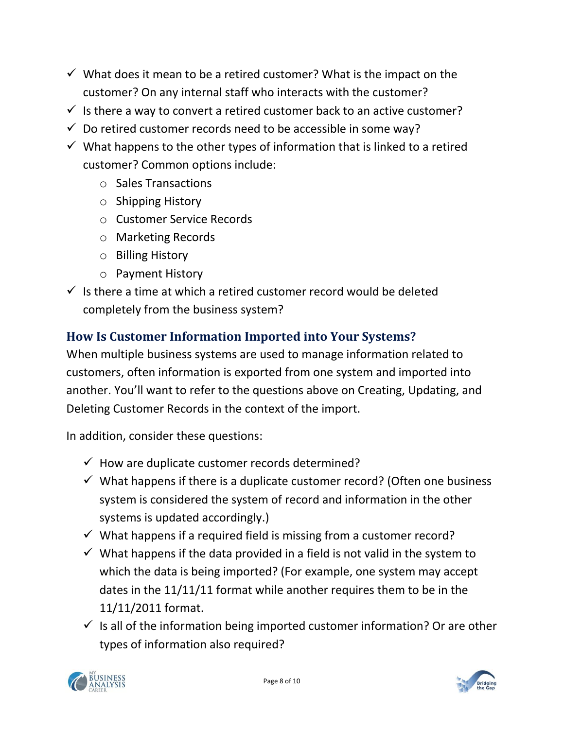- $\checkmark$  What does it mean to be a retired customer? What is the impact on the customer? On any internal staff who interacts with the customer?
- $\checkmark$  is there a way to convert a retired customer back to an active customer?
- $\checkmark$  Do retired customer records need to be accessible in some way?
- $\checkmark$  What happens to the other types of information that is linked to a retired customer? Common options include:
	- o Sales Transactions
	- o Shipping History
	- o Customer Service Records
	- o Marketing Records
	- o Billing History
	- o Payment History
- $\checkmark$  is there a time at which a retired customer record would be deleted completely from the business system?

#### **How Is Customer Information Imported into Your Systems?**

When multiple business systems are used to manage information related to customers, often information is exported from one system and imported into another. You'll want to refer to the questions above on Creating, Updating, and Deleting Customer Records in the context of the import.

In addition, consider these questions:

- $\checkmark$  How are duplicate customer records determined?
- $\checkmark$  What happens if there is a duplicate customer record? (Often one business system is considered the system of record and information in the other systems is updated accordingly.)
- $\checkmark$  What happens if a required field is missing from a customer record?
- $\checkmark$  What happens if the data provided in a field is not valid in the system to which the data is being imported? (For example, one system may accept dates in the 11/11/11 format while another requires them to be in the 11/11/2011 format.
- $\checkmark$  is all of the information being imported customer information? Or are other types of information also required?

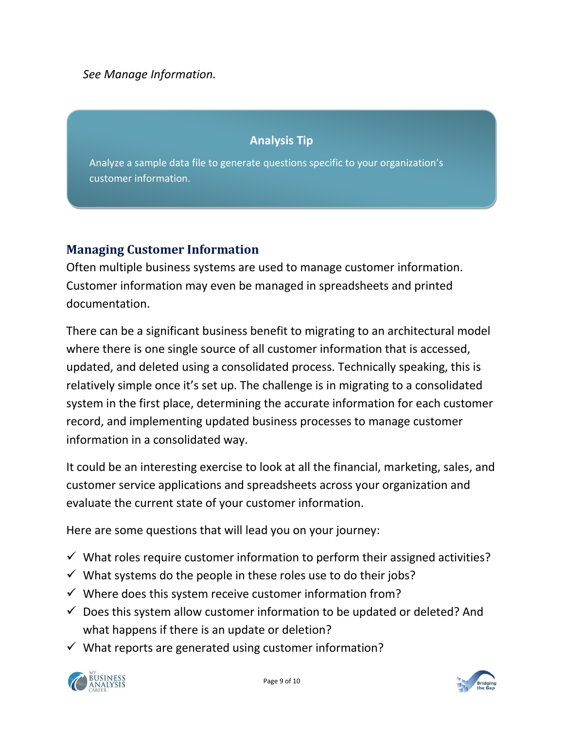*See Manage Information.*

#### **Analysis Tip**

Analyze a sample data file to generate questions specific to your organization's customer information.

#### **Managing Customer Information**

Often multiple business systems are used to manage customer information. Customer information may even be managed in spreadsheets and printed documentation.

There can be a significant business benefit to migrating to an architectural model where there is one single source of all customer information that is accessed, updated, and deleted using a consolidated process. Technically speaking, this is relatively simple once it's set up. The challenge is in migrating to a consolidated system in the first place, determining the accurate information for each customer record, and implementing updated business processes to manage customer information in a consolidated way.

It could be an interesting exercise to look at all the financial, marketing, sales, and customer service applications and spreadsheets across your organization and evaluate the current state of your customer information.

Here are some questions that will lead you on your journey:

- $\checkmark$  What roles require customer information to perform their assigned activities?
- $\checkmark$  What systems do the people in these roles use to do their jobs?
- $\checkmark$  Where does this system receive customer information from?
- $\checkmark$  Does this system allow customer information to be updated or deleted? And what happens if there is an update or deletion?
- $\checkmark$  What reports are generated using customer information?